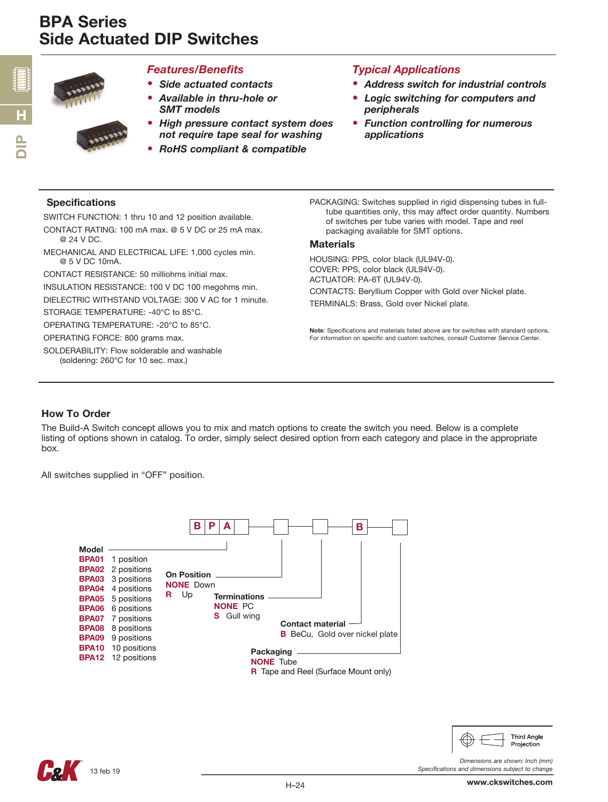

#### *Features/Benefits*

- *Side actuated contacts*
- *Available in thru-hole or SMT models*
- *High pressure contact system does not require tape seal for washing*
- *RoHS compliant & compatible*

### *Typical Applications*

- *Address switch for industrial controls*
- *Logic switching for computers and peripherals*
- *Function controlling for numerous applications*

#### **Specifications**

SWITCH FUNCTION: 1 thru 10 and 12 position available.

- CONTACT RATING: 100 mA max. @ 5 V DC or 25 mA max. @ 24 V DC.
- MECHANICAL AND ELECTRICAL LIFE: 1,000 cycles min. @ 5 V DC 10mA.

CONTACT RESISTANCE: 50 milliohms initial max.

INSULATION RESISTANCE: 100 V DC 100 megohms min.

DIELECTRIC WITHSTAND VOLTAGE: 300 V AC for 1 minute.

STORAGE TEMPERATURE: -40°C to 85°C.

OPERATING TEMPERATURE: -20°C to 85°C.

OPERATING FORCE: 800 grams max.

SOLDERABILITY: Flow solderable and washable (soldering: 260°C for 10 sec. max.)

PACKAGING: Switches supplied in rigid dispensing tubes in fulltube quantities only, this may affect order quantity. Numbers of switches per tube varies with model. Tape and reel packaging available for SMT options.

#### **Materials**

HOUSING: PPS, color black (UL94V-0). COVER: PPS, color black (UL94V-0). ACTUATOR: PA-6T (UL94V-0). CONTACTS: Beryllium Copper with Gold over Nickel plate. TERMINALS: Brass, Gold over Nickel plate.

Note: Specifications and materials listed above are for switches with standard options. For information on specific and custom switches, consult Customer Service Center.

### How To Order

The Build-A Switch concept allows you to mix and match options to create the switch you need. Below is a complete listing of options shown in catalog. To order, simply select desired option from each category and place in the appropriate box.

All switches supplied in "OFF" position.





www.ckswitches.com

**Third Angle** Projection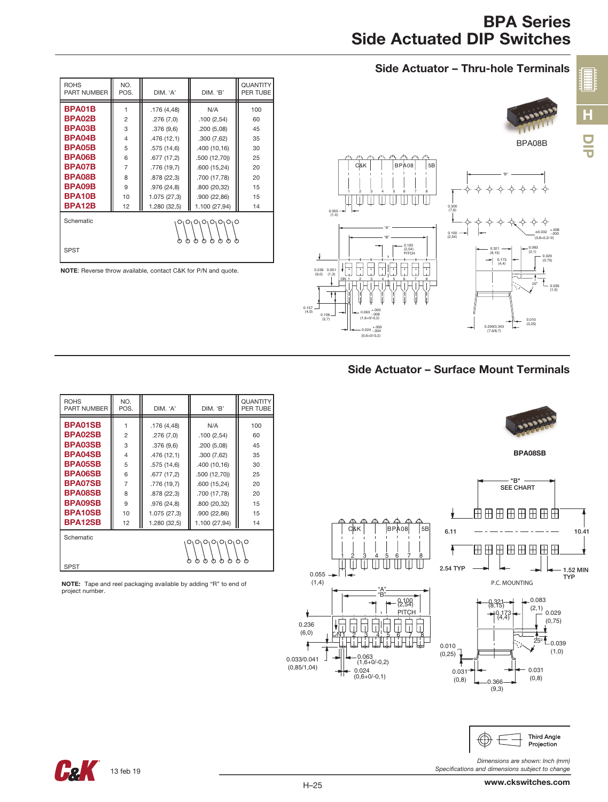# BPA Series Side Actuated DIP Switches

DIP

H

**HEEEE** 











*Dimensions are shown: Inch (mm)*

| <b>ROHS</b><br>PART NUMBER                                                   | NO.<br>POS.    | DIM. 'A'     | DIM. 'B'      |     |  |  |  |  |
|------------------------------------------------------------------------------|----------------|--------------|---------------|-----|--|--|--|--|
| <b>BPA01SB</b>                                                               |                | .176 (4,48)  | N/A           | 100 |  |  |  |  |
| <b>BPA02SB</b>                                                               | $\overline{2}$ | .276(7,0)    | .100(2.54)    | 60  |  |  |  |  |
| <b>BPA03SB</b>                                                               | 3              | .376(9,6)    | .200(5,08)    | 45  |  |  |  |  |
| <b>BPA04SB</b>                                                               | $\overline{4}$ | .476 (12,1)  | .300(7,62)    | 35  |  |  |  |  |
| <b>BPA05SB</b>                                                               | 5              | .575(14,6)   | .400 (10,16)  | 30  |  |  |  |  |
| <b>BPA06SB</b>                                                               | 6              | .677 (17,2)  | .500(12,70)   | 25  |  |  |  |  |
| <b>BPA07SB</b>                                                               | 7              | .776 (19,7)  | .600 (15,24)  | 20  |  |  |  |  |
| <b>BPA08SB</b>                                                               | 8              | .878 (22,3)  | .700 (17,78)  | 20  |  |  |  |  |
| <b>BPA09SB</b>                                                               | 9              | .976 (24,8)  | .800 (20,32)  | 15  |  |  |  |  |
| <b>BPA10SB</b>                                                               | 10             | 1.075 (27,3) | .900 (22,86)  | 15  |  |  |  |  |
| <b>BPA12SB</b>                                                               | 12             | 1.280 (32,5) | 1.100 (27,94) | 14  |  |  |  |  |
| Schematic<br>$O_1O_1O_1O_1O_1O$<br>ტ<br>Φ<br>ტ<br>ტ<br>Μ<br>ტ<br><b>SPST</b> |                |              |               |     |  |  |  |  |
|                                                                              |                |              |               |     |  |  |  |  |

NOTE: Tape and reel packaging available by adding "R" to end of project number.

*Specifications and dimensions subject to change*



0.236 (6,0)

ţ